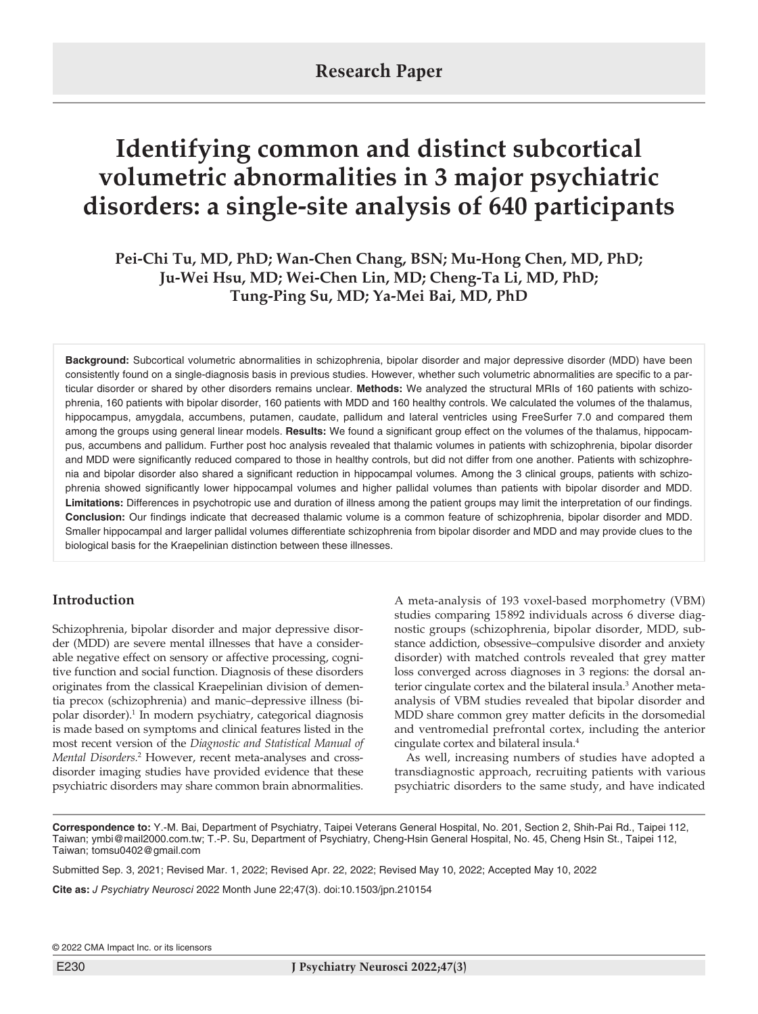# **Identifying common and distinct subcortical volumetric abnormalities in 3 major psychiatric disorders: a single-site analysis of 640 participants**

**Pei-Chi Tu, MD, PhD; Wan-Chen Chang, BSN; Mu-Hong Chen, MD, PhD; Ju-Wei Hsu, MD; Wei-Chen Lin, MD; Cheng-Ta Li, MD, PhD; Tung-Ping Su, MD; Ya-Mei Bai, MD, PhD**

**Background:** Subcortical volumetric abnormalities in schizophrenia, bipolar disorder and major depressive disorder (MDD) have been consistently found on a single-diagnosis basis in previous studies. However, whether such volumetric abnormalities are specific to a particular disorder or shared by other disorders remains unclear. **Methods:** We analyzed the structural MRIs of 160 patients with schizophrenia, 160 patients with bipolar disorder, 160 patients with MDD and 160 healthy controls. We calculated the volumes of the thalamus, hippocampus, amygdala, accumbens, putamen, caudate, pallidum and lateral ventricles using FreeSurfer 7.0 and compared them among the groups using general linear models. **Results:** We found a significant group effect on the volumes of the thalamus, hippocampus, accumbens and pallidum. Further post hoc analysis revealed that thalamic volumes in patients with schizophrenia, bipolar disorder and MDD were significantly reduced compared to those in healthy controls, but did not differ from one another. Patients with schizophrenia and bipolar disorder also shared a significant reduction in hippocampal volumes. Among the 3 clinical groups, patients with schizophrenia showed significantly lower hippocampal volumes and higher pallidal volumes than patients with bipolar disorder and MDD. **Limitations:** Differences in psychotropic use and duration of illness among the patient groups may limit the interpretation of our findings. **Conclusion:** Our findings indicate that decreased thalamic volume is a common feature of schizophrenia, bipolar disorder and MDD. Smaller hippocampal and larger pallidal volumes differentiate schizophrenia from bipolar disorder and MDD and may provide clues to the biological basis for the Kraepelinian distinction between these illnesses.

# **Introduction**

Schizophrenia, bipolar disorder and major depressive disorder (MDD) are severe mental illnesses that have a considerable negative effect on sensory or affective processing, cognitive function and social function. Diagnosis of these disorders originates from the classical Kraepelinian division of dementia precox (schizophrenia) and manic–depressive illness (bipolar disorder).1 In modern psychiatry, categorical diagnosis is made based on symptoms and clinical features listed in the most recent version of the *Diagnostic and Statistical Manual of Mental Disorders.*<sup>2</sup> However, recent meta-analyses and crossdisorder imaging studies have provided evidence that these psychiatric disorders may share common brain abnormalities.

A meta-analysis of 193 voxel-based morphometry (VBM) studies comparing 15892 individuals across 6 diverse diagnostic groups (schizophrenia, bipolar disorder, MDD, substance addiction, obsessive–compulsive disorder and anxiety disorder) with matched controls revealed that grey matter loss converged across diagnoses in 3 regions: the dorsal anterior cingulate cortex and the bilateral insula.<sup>3</sup> Another metaanalysis of VBM studies revealed that bipolar disorder and MDD share common grey matter deficits in the dorsomedial and ventromedial prefrontal cortex, including the anterior cingulate cortex and bilateral insula.4

As well, increasing numbers of studies have adopted a transdiagnostic approach, recruiting patients with various psychiatric disorders to the same study, and have indicated

**Correspondence to:** Y.-M. Bai, Department of Psychiatry, Taipei Veterans General Hospital, No. 201, Section 2, Shih-Pai Rd., Taipei 112, Taiwan; ymbi@mail2000.com.tw; T.-P. Su, Department of Psychiatry, Cheng-Hsin General Hospital, No. 45, Cheng Hsin St., Taipei 112, Taiwan; tomsu0402@gmail.com

Submitted Sep. 3, 2021; Revised Mar. 1, 2022; Revised Apr. 22, 2022; Revised May 10, 2022; Accepted May 10, 2022

**Cite as:** *J Psychiatry Neurosci* 2022 Month June 22;47(3). doi:10.1503/jpn.210154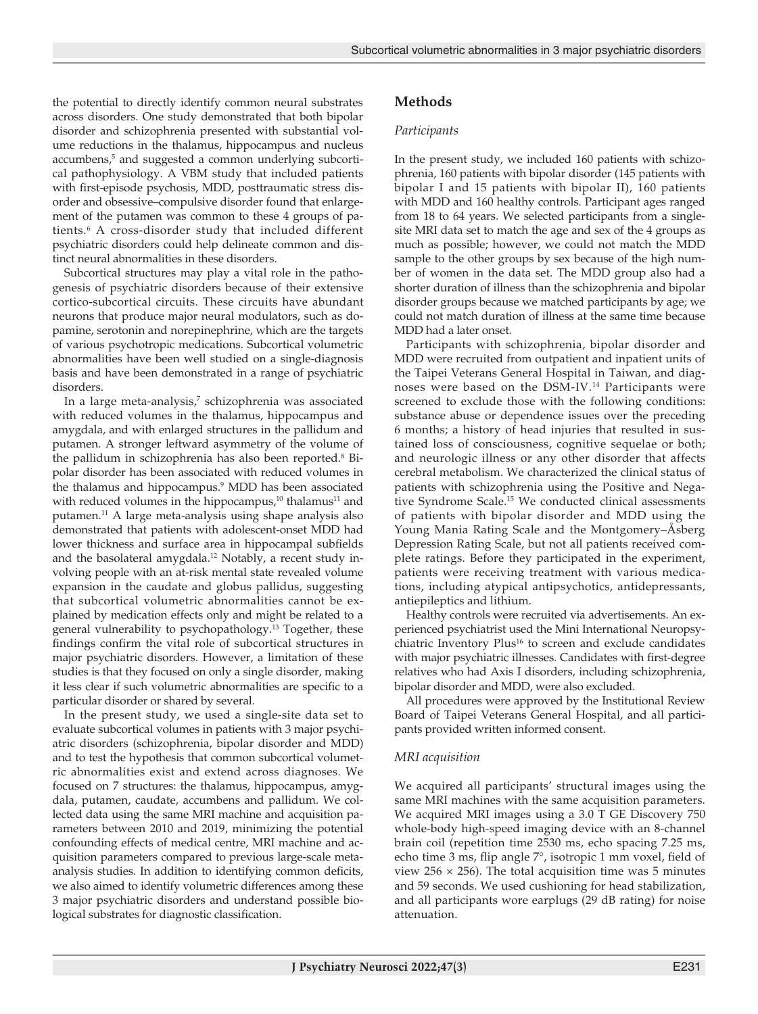the potential to directly identify common neural substrates across disorders. One study demonstrated that both bipolar disorder and schizophrenia presented with substantial volume reductions in the thalamus, hippocampus and nucleus accumbens,<sup>5</sup> and suggested a common underlying subcortical pathophysiology. A VBM study that included patients with first-episode psychosis, MDD, posttraumatic stress disorder and obsessive–compulsive disorder found that enlargement of the putamen was common to these 4 groups of patients.6 A cross-disorder study that included different psychiatric disorders could help delineate common and distinct neural abnormalities in these disorders.

Subcortical structures may play a vital role in the pathogenesis of psychiatric disorders because of their extensive cortico-subcortical circuits. These circuits have abundant neurons that produce major neural modulators, such as dopamine, serotonin and norepinephrine, which are the targets of various psychotropic medications. Subcortical volumetric abnormalities have been well studied on a single-diagnosis basis and have been demonstrated in a range of psychiatric disorders.

In a large meta-analysis,<sup>7</sup> schizophrenia was associated with reduced volumes in the thalamus, hippocampus and amygdala, and with enlarged structures in the pallidum and putamen. A stronger leftward asymmetry of the volume of the pallidum in schizophrenia has also been reported.<sup>8</sup> Bipolar disorder has been associated with reduced volumes in the thalamus and hippocampus.9 MDD has been associated with reduced volumes in the hippocampus, $10$  thalamus $11$  and putamen.11 A large meta-analysis using shape analysis also demonstrated that patients with adolescent-onset MDD had lower thickness and surface area in hippocampal subfields and the basolateral amygdala.<sup>12</sup> Notably, a recent study involving people with an at-risk mental state revealed volume expansion in the caudate and globus pallidus, suggesting that subcortical volumetric abnormalities cannot be explained by medication effects only and might be related to a general vulnerability to psychopathology.13 Together, these findings confirm the vital role of subcortical structures in major psychiatric disorders. However, a limitation of these studies is that they focused on only a single disorder, making it less clear if such volumetric abnormalities are specific to a particular disorder or shared by several.

In the present study, we used a single-site data set to evaluate subcortical volumes in patients with 3 major psychiatric disorders (schizophrenia, bipolar disorder and MDD) and to test the hypothesis that common subcortical volumetric abnormalities exist and extend across diagnoses. We focused on 7 structures: the thalamus, hippocampus, amygdala, putamen, caudate, accumbens and pallidum. We collected data using the same MRI machine and acquisition parameters between 2010 and 2019, minimizing the potential confounding effects of medical centre, MRI machine and acquisition parameters compared to previous large-scale metaanalysis studies. In addition to identifying common deficits, we also aimed to identify volumetric differences among these 3 major psychiatric disorders and understand possible biological substrates for diagnostic classification.

# **Methods**

#### *Participants*

In the present study, we included 160 patients with schizophrenia, 160 patients with bipolar disorder (145 patients with bipolar I and 15 patients with bipolar II), 160 patients with MDD and 160 healthy controls. Participant ages ranged from 18 to 64 years. We selected participants from a singlesite MRI data set to match the age and sex of the 4 groups as much as possible; however, we could not match the MDD sample to the other groups by sex because of the high number of women in the data set. The MDD group also had a shorter duration of illness than the schizophrenia and bipolar disorder groups because we matched participants by age; we could not match duration of illness at the same time because MDD had a later onset.

Participants with schizophrenia, bipolar disorder and MDD were recruited from outpatient and inpatient units of the Taipei Veterans General Hospital in Taiwan, and diagnoses were based on the DSM-IV.14 Participants were screened to exclude those with the following conditions: substance abuse or dependence issues over the preceding 6 months; a history of head injuries that resulted in sustained loss of consciousness, cognitive sequelae or both; and neurologic illness or any other disorder that affects cerebral metabolism. We characterized the clinical status of patients with schizophrenia using the Positive and Negative Syndrome Scale.15 We conducted clinical assessments of patients with bipolar disorder and MDD using the Young Mania Rating Scale and the Montgomery–Åsberg Depression Rating Scale, but not all patients received complete ratings. Before they participated in the experiment, patients were receiving treatment with various medications, including atypical antipsychotics, antidepressants, antiepileptics and lithium.

Healthy controls were recruited via advertisements. An experienced psychiatrist used the Mini International Neuropsychiatric Inventory Plus<sup>16</sup> to screen and exclude candidates with major psychiatric illnesses. Candidates with first-degree relatives who had Axis I disorders, including schizophrenia, bipolar disorder and MDD, were also excluded.

All procedures were approved by the Institutional Review Board of Taipei Veterans General Hospital, and all participants provided written informed consent.

## *MRI acquisition*

We acquired all participants' structural images using the same MRI machines with the same acquisition parameters. We acquired MRI images using a 3.0 T GE Discovery 750 whole-body high-speed imaging device with an 8-channel brain coil (repetition time 2530 ms, echo spacing 7.25 ms, echo time 3 ms, flip angle 7°, isotropic 1 mm voxel, field of view 256  $\times$  256). The total acquisition time was 5 minutes and 59 seconds. We used cushioning for head stabilization, and all participants wore earplugs (29 dB rating) for noise attenuation.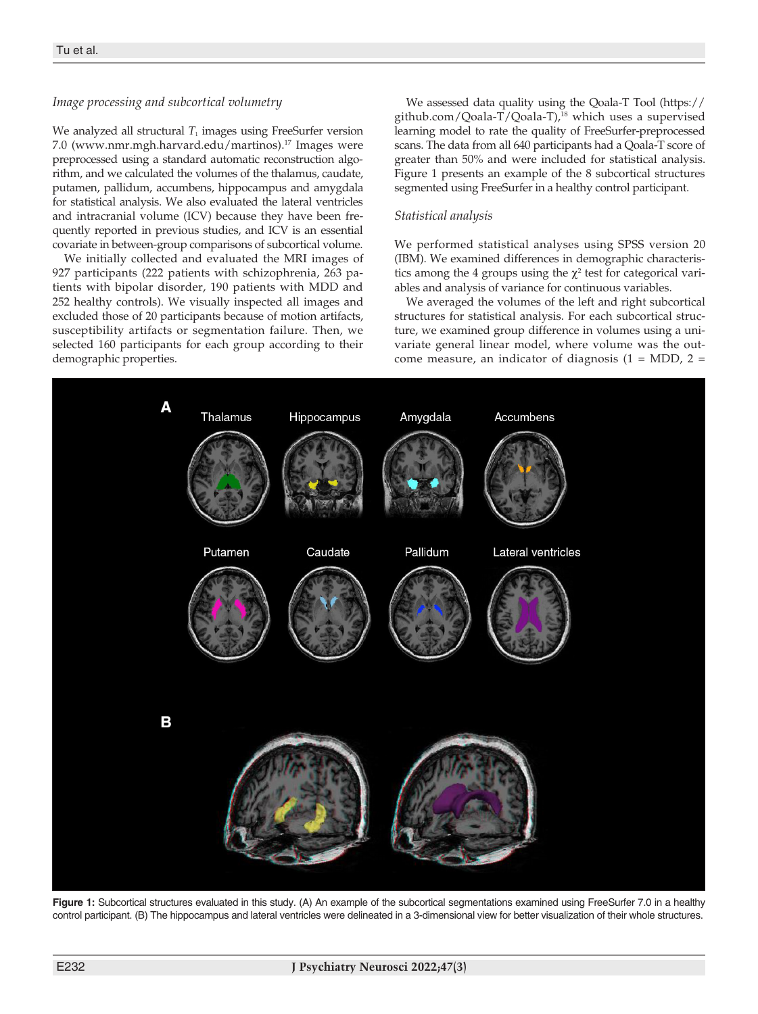## *Image processing and subcortical volumetry*

We analyzed all structural  $T_1$  images using FreeSurfer version 7.0 (www.nmr.mgh.harvard.edu/martinos).17 Images were preprocessed using a standard automatic reconstruction algorithm, and we calculated the volumes of the thalamus, caudate, putamen, pallidum, accumbens, hippocampus and amygdala for statistical analysis. We also evaluated the lateral ventricles and intracranial volume (ICV) because they have been frequently reported in previous studies, and ICV is an essential covariate in between-group comparisons of subcortical volume.

We initially collected and evaluated the MRI images of 927 participants (222 patients with schizophrenia, 263 patients with bipolar disorder, 190 patients with MDD and 252 healthy controls). We visually inspected all images and excluded those of 20 participants because of motion artifacts, susceptibility artifacts or segmentation failure. Then, we selected 160 participants for each group according to their demographic properties.

We assessed data quality using the Qoala-T Tool (https:// github.com/Qoala-T/Qoala-T),18 which uses a supervised learning model to rate the quality of FreeSurfer-preprocessed scans. The data from all 640 participants had a Qoala-T score of greater than 50% and were included for statistical analysis. Figure 1 presents an example of the 8 subcortical structures segmented using FreeSurfer in a healthy control participant.

## *Statistical analysis*

We performed statistical analyses using SPSS version 20 (IBM). We examined differences in demographic characteristics among the 4 groups using the  $\chi^2$  test for categorical variables and analysis of variance for continuous variables.

We averaged the volumes of the left and right subcortical structures for statistical analysis. For each subcortical structure, we examined group difference in volumes using a univariate general linear model, where volume was the outcome measure, an indicator of diagnosis  $(1 = MDD, 2 =$ 



**Figure 1:** Subcortical structures evaluated in this study. (A) An example of the subcortical segmentations examined using FreeSurfer 7.0 in a healthy control participant. (B) The hippocampus and lateral ventricles were delineated in a 3-dimensional view for better visualization of their whole structures.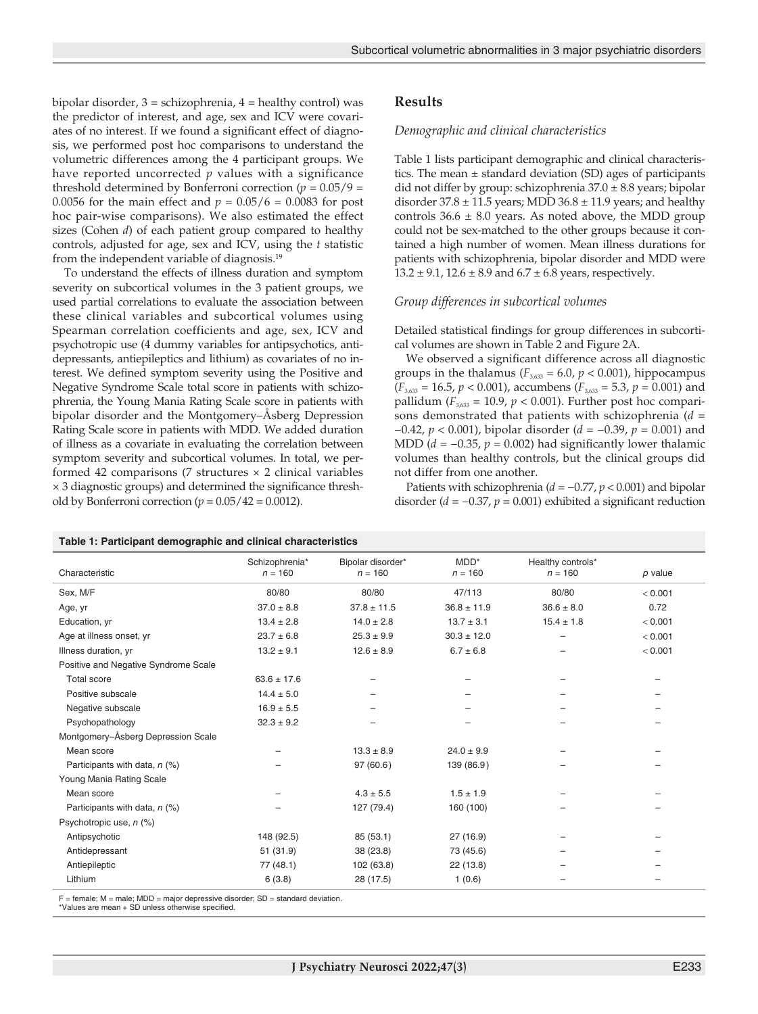bipolar disorder,  $3 =$  schizophrenia,  $4 =$  healthy control) was the predictor of interest, and age, sex and ICV were covariates of no interest. If we found a significant effect of diagnosis, we performed post hoc comparisons to understand the volumetric differences among the 4 participant groups. We have reported uncorrected *p* values with a significance threshold determined by Bonferroni correction ( $p = 0.05/9$  = 0.0056 for the main effect and  $p = 0.05/6 = 0.0083$  for post hoc pair-wise comparisons). We also estimated the effect sizes (Cohen *d*) of each patient group compared to healthy controls, adjusted for age, sex and ICV, using the *t* statistic from the independent variable of diagnosis.<sup>19</sup>

To understand the effects of illness duration and symptom severity on subcortical volumes in the 3 patient groups, we used partial correlations to evaluate the association between these clinical variables and subcortical volumes using Spearman correlation coefficients and age, sex, ICV and psychotropic use (4 dummy variables for antipsychotics, antidepressants, antiepileptics and lithium) as covariates of no interest. We defined symptom severity using the Positive and Negative Syndrome Scale total score in patients with schizophrenia, the Young Mania Rating Scale score in patients with bipolar disorder and the Montgomery–Åsberg Depression Rating Scale score in patients with MDD. We added duration of illness as a covariate in evaluating the correlation between symptom severity and subcortical volumes. In total, we performed 42 comparisons (7 structures  $\times$  2 clinical variables × 3 diagnostic groups) and determined the significance threshold by Bonferroni correction ( $p = 0.05/42 = 0.0012$ ).

**Table 1: Participant demographic and clinical characteristics**

## **Results**

#### *Demographic and clinical characteristics*

Table 1 lists participant demographic and clinical characteristics. The mean  $\pm$  standard deviation (SD) ages of participants did not differ by group: schizophrenia 37.0 ± 8.8 years; bipolar disorder  $37.8 \pm 11.5$  years; MDD  $36.8 \pm 11.9$  years; and healthy controls  $36.6 \pm 8.0$  years. As noted above, the MDD group could not be sex-matched to the other groups because it contained a high number of women. Mean illness durations for patients with schizophrenia, bipolar disorder and MDD were  $13.2 \pm 9.1$ ,  $12.6 \pm 8.9$  and  $6.7 \pm 6.8$  years, respectively.

#### *Group differences in subcortical volumes*

Detailed statistical findings for group differences in subcortical volumes are shown in Table 2 and Figure 2A.

We observed a significant difference across all diagnostic groups in the thalamus ( $F_{3,633} = 6.0$ ,  $p < 0.001$ ), hippocampus  $(F_{3,633} = 16.5, p < 0.001)$ , accumbens  $(F_{3,633} = 5.3, p = 0.001)$  and pallidum  $(F_{3,633} = 10.9, p < 0.001)$ . Further post hoc comparisons demonstrated that patients with schizophrenia (*d* = −0.42, *p* < 0.001), bipolar disorder (*d* = −0.39, *p* = 0.001) and MDD ( $d = -0.35$ ,  $p = 0.002$ ) had significantly lower thalamic volumes than healthy controls, but the clinical groups did not differ from one another.

Patients with schizophrenia (*d* = −0.77, *p* < 0.001) and bipolar disorder (*d* = −0.37, *p* = 0.001) exhibited a significant reduction

| Table 1: Participant demographic and clinical characteristics |                             |                                |                      |                                |           |  |  |
|---------------------------------------------------------------|-----------------------------|--------------------------------|----------------------|--------------------------------|-----------|--|--|
| Characteristic                                                | Schizophrenia*<br>$n = 160$ | Bipolar disorder*<br>$n = 160$ | $MDD^*$<br>$n = 160$ | Healthy controls*<br>$n = 160$ | $p$ value |  |  |
| Sex, M/F                                                      | 80/80                       | 80/80                          | 47/113               | 80/80                          | < 0.001   |  |  |
| Age, yr                                                       | $37.0 \pm 8.8$              | $37.8 \pm 11.5$                | $36.8 \pm 11.9$      | $36.6 \pm 8.0$                 | 0.72      |  |  |
| Education, yr                                                 | $13.4 \pm 2.8$              | $14.0 \pm 2.8$                 | $13.7 \pm 3.1$       | $15.4 \pm 1.8$                 | < 0.001   |  |  |
| Age at illness onset, yr                                      | $23.7 \pm 6.8$              | $25.3 \pm 9.9$                 | $30.3 \pm 12.0$      |                                | < 0.001   |  |  |
| Illness duration, yr                                          | $13.2 \pm 9.1$              | $12.6 \pm 8.9$                 | $6.7 \pm 6.8$        |                                | < 0.001   |  |  |
| Positive and Negative Syndrome Scale                          |                             |                                |                      |                                |           |  |  |
| <b>Total score</b>                                            | $63.6 \pm 17.6$             |                                |                      |                                |           |  |  |
| Positive subscale                                             | $14.4 \pm 5.0$              |                                |                      |                                |           |  |  |
| Negative subscale                                             | $16.9 \pm 5.5$              |                                |                      |                                |           |  |  |
| Psychopathology                                               | $32.3 \pm 9.2$              | -                              |                      |                                |           |  |  |
| Montgomery-Åsberg Depression Scale                            |                             |                                |                      |                                |           |  |  |
| Mean score                                                    |                             | $13.3 \pm 8.9$                 | $24.0 \pm 9.9$       |                                |           |  |  |
| Participants with data, $n$ (%)                               |                             | 97(60.6)                       | 139 (86.9)           |                                |           |  |  |
| Young Mania Rating Scale                                      |                             |                                |                      |                                |           |  |  |
| Mean score                                                    |                             | $4.3 \pm 5.5$                  | $1.5 \pm 1.9$        |                                |           |  |  |
| Participants with data, $n$ (%)                               |                             | 127 (79.4)                     | 160 (100)            |                                |           |  |  |
| Psychotropic use, n (%)                                       |                             |                                |                      |                                |           |  |  |
| Antipsychotic                                                 | 148 (92.5)                  | 85 (53.1)                      | 27 (16.9)            |                                |           |  |  |
| Antidepressant                                                | 51(31.9)                    | 38 (23.8)                      | 73 (45.6)            |                                |           |  |  |
| Antiepileptic                                                 | 77 (48.1)                   | 102 (63.8)                     | 22 (13.8)            |                                |           |  |  |
| Lithium                                                       | 6(3.8)                      | 28 (17.5)                      | 1(0.6)               |                                |           |  |  |
|                                                               |                             |                                |                      |                                |           |  |  |

 $=$  female; M = male; MDD = major depressive disorder; SD = standard deviation.

\*Values are mean + SD unless otherwise specified.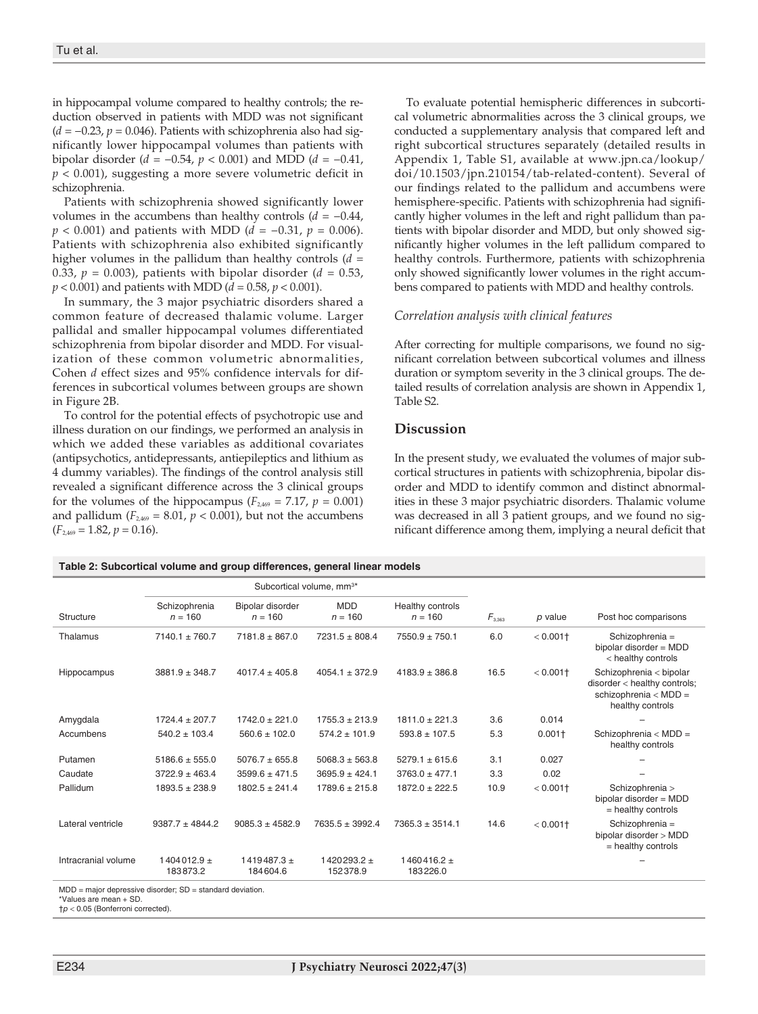in hippocampal volume compared to healthy controls; the reduction observed in patients with MDD was not significant (*d* = −0.23, *p* = 0.046). Patients with schizophrenia also had significantly lower hippocampal volumes than patients with bipolar disorder (*d* = −0.54, *p* < 0.001) and MDD (*d* = *−*0.41, *p* < 0.001), suggesting a more severe volumetric deficit in schizophrenia.

Patients with schizophrenia showed significantly lower volumes in the accumbens than healthy controls (*d* = *−*0.44, *p* < 0.001) and patients with MDD (*d* = −0.31, *p* = 0.006). Patients with schizophrenia also exhibited significantly higher volumes in the pallidum than healthy controls (*d* = 0.33,  $p = 0.003$ ), patients with bipolar disorder ( $d = 0.53$ ) *p* < 0.001) and patients with MDD (*d* = 0.58, *p* < 0.001).

In summary, the 3 major psychiatric disorders shared a common feature of decreased thalamic volume. Larger pallidal and smaller hippocampal volumes differentiated schizophrenia from bipolar disorder and MDD. For visualization of these common volumetric abnormalities, Cohen *d* effect sizes and 95% confidence intervals for differences in subcortical volumes between groups are shown in Figure 2B.

To control for the potential effects of psychotropic use and illness duration on our findings, we performed an analysis in which we added these variables as additional covariates (antipsychotics, antidepressants, antiepileptics and lithium as 4 dummy variables). The findings of the control analysis still revealed a significant difference across the 3 clinical groups for the volumes of the hippocampus ( $F_{2,469} = 7.17$ ,  $p = 0.001$ ) and pallidum  $(F_{2,469} = 8.01, p < 0.001)$ , but not the accumbens  $(F<sub>2.469</sub> = 1.82, p = 0.16).$ 

To evaluate potential hemispheric differences in subcortical volumetric abnormalities across the 3 clinical groups, we conducted a supplementary analysis that compared left and right subcortical structures separately (detailed results in Appendix 1, Table S1, available at www.jpn.ca/lookup/ doi/10.1503/jpn.210154/tab-related-content). Several of our findings related to the pallidum and accumbens were hemisphere-specific. Patients with schizophrenia had significantly higher volumes in the left and right pallidum than patients with bipolar disorder and MDD, but only showed significantly higher volumes in the left pallidum compared to healthy controls. Furthermore, patients with schizophrenia only showed significantly lower volumes in the right accumbens compared to patients with MDD and healthy controls.

## *Correlation analysis with clinical features*

After correcting for multiple comparisons, we found no significant correlation between subcortical volumes and illness duration or symptom severity in the 3 clinical groups. The detailed results of correlation analysis are shown in Appendix 1, Table S2.

## **Discussion**

In the present study, we evaluated the volumes of major subcortical structures in patients with schizophrenia, bipolar disorder and MDD to identify common and distinct abnormalities in these 3 major psychiatric disorders. Thalamic volume was decreased in all 3 patient groups, and we found no significant difference among them, implying a neural deficit that

| Table 2: Subcortical volume and group differences, general linear models |  |  |
|--------------------------------------------------------------------------|--|--|
|--------------------------------------------------------------------------|--|--|

|                                                               | Subcortical volume, mm <sup>3*</sup> |                               |                           |                               |             |                        |                                                                                                        |  |
|---------------------------------------------------------------|--------------------------------------|-------------------------------|---------------------------|-------------------------------|-------------|------------------------|--------------------------------------------------------------------------------------------------------|--|
| Structure                                                     | Schizophrenia<br>$n = 160$           | Bipolar disorder<br>$n = 160$ | <b>MDD</b><br>$n = 160$   | Healthy controls<br>$n = 160$ | $F_{3.363}$ | p value                | Post hoc comparisons                                                                                   |  |
| Thalamus                                                      | $7140.1 \pm 760.7$                   | $7181.8 \pm 867.0$            | $7231.5 \pm 808.4$        | $7550.9 \pm 750.1$            | 6.0         | $< 0.001$ <sup>+</sup> | Schizophrenia =<br>bipolar disorder = MDD<br>< healthy controls                                        |  |
| Hippocampus                                                   | $3881.9 \pm 348.7$                   | $4017.4 \pm 405.8$            | $4054.1 \pm 372.9$        | $4183.9 \pm 386.8$            | 16.5        | $0.001 +$              | Schizophrenia < bipolar<br>disorder < healthy controls;<br>schizophrenia < $MDD =$<br>healthy controls |  |
| Amygdala                                                      | $1724.4 \pm 207.7$                   | $1742.0 \pm 221.0$            | $1755.3 \pm 213.9$        | $1811.0 \pm 221.3$            | 3.6         | 0.014                  |                                                                                                        |  |
| Accumbens                                                     | $540.2 \pm 103.4$                    | $560.6 \pm 102.0$             | $574.2 \pm 101.9$         | $593.8 \pm 107.5$             | 5.3         | $0.001+$               | Schizophrenia < $MDD =$<br>healthy controls                                                            |  |
| Putamen                                                       | $5186.6 \pm 555.0$                   | $5076.7 \pm 655.8$            | $5068.3 \pm 563.8$        | $5279.1 \pm 615.6$            | 3.1         | 0.027                  |                                                                                                        |  |
| Caudate                                                       | $3722.9 \pm 463.4$                   | $3599.6 \pm 471.5$            | $3695.9 \pm 424.1$        | $3763.0 \pm 477.1$            | 3.3         | 0.02                   |                                                                                                        |  |
| Pallidum                                                      | $1893.5 \pm 238.9$                   | $1802.5 \pm 241.4$            | $1789.6 \pm 215.8$        | $1872.0 \pm 222.5$            | 10.9        | $< 0.001$ <sup>+</sup> | Schizophrenia ><br>bipolar disorder = MDD<br>$=$ healthy controls                                      |  |
| Lateral ventricle                                             | $9387.7 + 4844.2$                    | $9085.3 + 4582.9$             | $7635.5 \pm 3992.4$       | $7365.3 \pm 3514.1$           | 14.6        | $< 0.001$ †            | Schizophrenia =<br>bipolar disorder > MDD<br>= healthy controls                                        |  |
| Intracranial volume                                           | $1404012.9 +$<br>183873.2            | $1419487.3 +$<br>184604.6     | $1420293.2 +$<br>152378.9 | $1460416.2 +$<br>183226.0     |             |                        |                                                                                                        |  |
| $MDD =$ major depressive disorder; $SD =$ standard deviation. |                                      |                               |                           |                               |             |                        |                                                                                                        |  |

\*Values are mean + SD.

†*p* < 0.05 (Bonferroni corrected).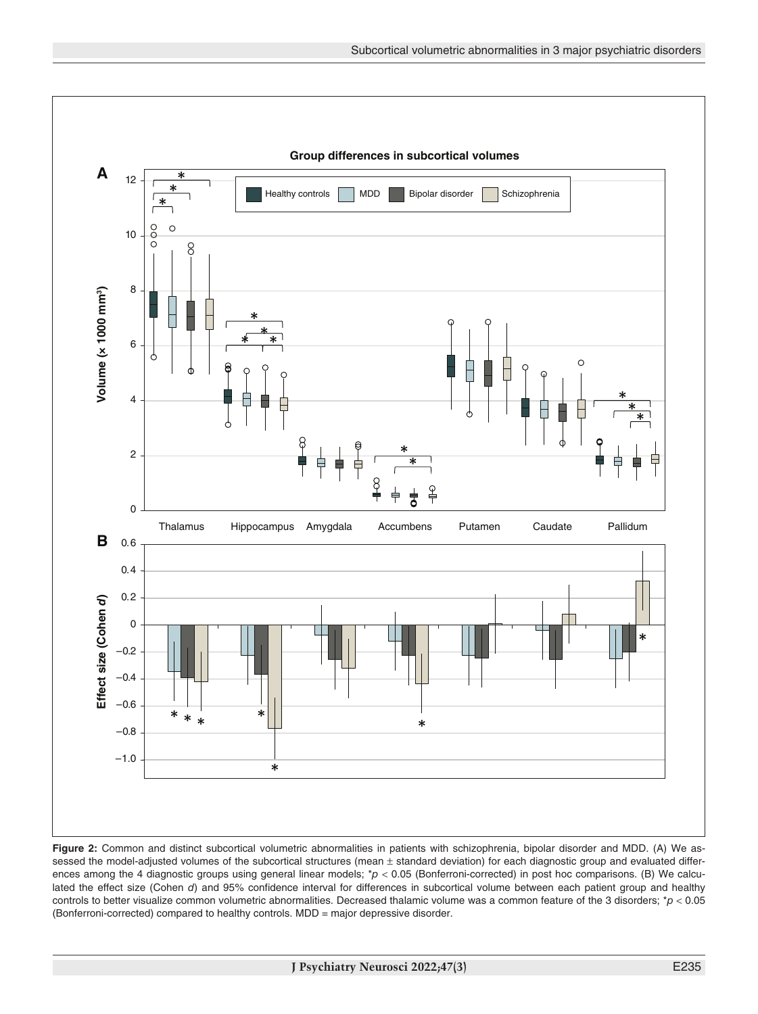

**Figure 2:** Common and distinct subcortical volumetric abnormalities in patients with schizophrenia, bipolar disorder and MDD. (A) We assessed the model-adjusted volumes of the subcortical structures (mean  $\pm$  standard deviation) for each diagnostic group and evaluated differences among the 4 diagnostic groups using general linear models; \*p < 0.05 (Bonferroni-corrected) in post hoc comparisons. (B) We calculated the effect size (Cohen *d*) and 95% confidence interval for differences in subcortical volume between each patient group and healthy controls to better visualize common volumetric abnormalities. Decreased thalamic volume was a common feature of the 3 disorders; \**p* < 0.05 (Bonferroni-corrected) compared to healthy controls. MDD = major depressive disorder.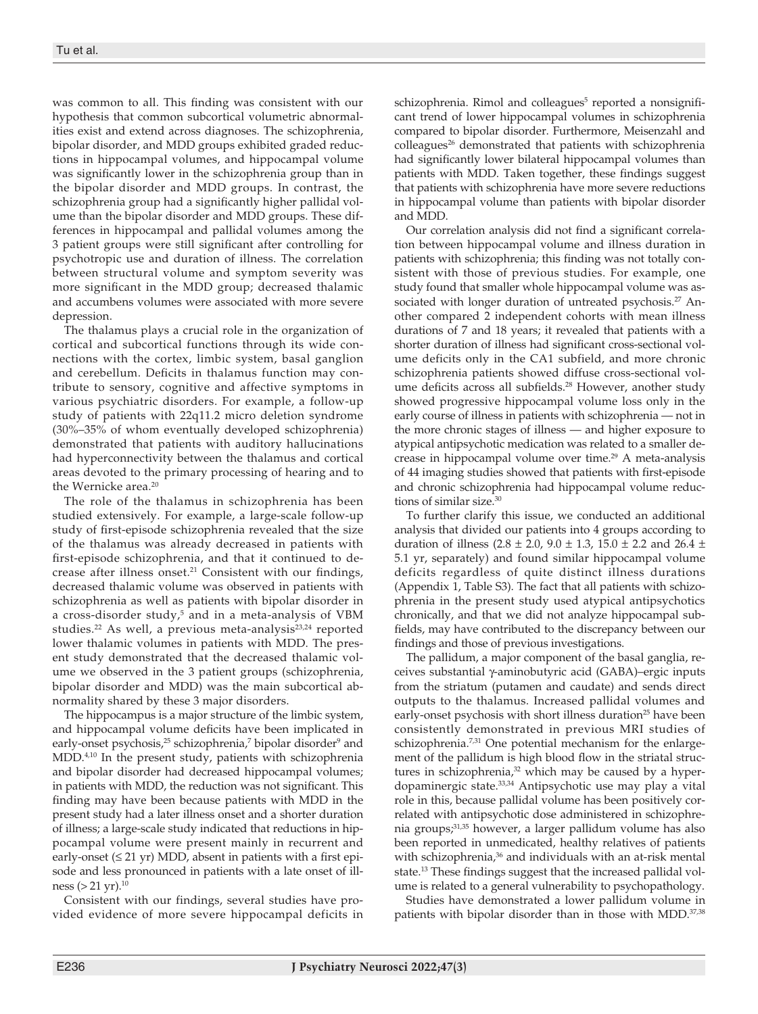was common to all. This finding was consistent with our hypothesis that common subcortical volumetric abnormalities exist and extend across diagnoses. The schizophrenia, bipolar disorder, and MDD groups exhibited graded reductions in hippocampal volumes, and hippocampal volume was significantly lower in the schizophrenia group than in the bipolar disorder and MDD groups. In contrast, the schizophrenia group had a significantly higher pallidal volume than the bipolar disorder and MDD groups. These differences in hippocampal and pallidal volumes among the 3 patient groups were still significant after controlling for psychotropic use and duration of illness. The correlation between structural volume and symptom severity was more significant in the MDD group; decreased thalamic and accumbens volumes were associated with more severe depression.

The thalamus plays a crucial role in the organization of cortical and subcortical functions through its wide connections with the cortex, limbic system, basal ganglion and cerebellum. Deficits in thalamus function may contribute to sensory, cognitive and affective symptoms in various psychiatric disorders. For example, a follow-up study of patients with 22q11.2 micro deletion syndrome (30%–35% of whom eventually developed schizophrenia) demonstrated that patients with auditory hallucinations had hyperconnectivity between the thalamus and cortical areas devoted to the primary processing of hearing and to the Wernicke area.<sup>20</sup>

The role of the thalamus in schizophrenia has been studied extensively. For example, a large-scale follow-up study of first-episode schizophrenia revealed that the size of the thalamus was already decreased in patients with first-episode schizophrenia, and that it continued to decrease after illness onset.<sup>21</sup> Consistent with our findings, decreased thalamic volume was observed in patients with schizophrenia as well as patients with bipolar disorder in a cross-disorder study,<sup>5</sup> and in a meta-analysis of VBM studies.<sup>22</sup> As well, a previous meta-analysis<sup>23,24</sup> reported lower thalamic volumes in patients with MDD. The present study demonstrated that the decreased thalamic volume we observed in the 3 patient groups (schizophrenia, bipolar disorder and MDD) was the main subcortical abnormality shared by these 3 major disorders.

The hippocampus is a major structure of the limbic system, and hippocampal volume deficits have been implicated in early-onset psychosis,<sup>25</sup> schizophrenia,<sup>7</sup> bipolar disorder<sup>9</sup> and MDD.4,10 In the present study, patients with schizophrenia and bipolar disorder had decreased hippocampal volumes; in patients with MDD, the reduction was not significant. This finding may have been because patients with MDD in the present study had a later illness onset and a shorter duration of illness; a large-scale study indicated that reductions in hippocampal volume were present mainly in recurrent and early-onset  $(\leq 21 \text{ yr})$  MDD, absent in patients with a first episode and less pronounced in patients with a late onset of illness  $(> 21 \text{ yr})$ .<sup>10</sup>

Consistent with our findings, several studies have provided evidence of more severe hippocampal deficits in

schizophrenia. Rimol and colleagues<sup>5</sup> reported a nonsignificant trend of lower hippocampal volumes in schizophrenia compared to bipolar disorder. Furthermore, Meisenzahl and colleagues<sup>26</sup> demonstrated that patients with schizophrenia had significantly lower bilateral hippocampal volumes than patients with MDD. Taken together, these findings suggest that patients with schizophrenia have more severe reductions in hippocampal volume than patients with bipolar disorder and MDD.

Our correlation analysis did not find a significant correlation between hippocampal volume and illness duration in patients with schizophrenia; this finding was not totally consistent with those of previous studies. For example, one study found that smaller whole hippocampal volume was associated with longer duration of untreated psychosis.<sup>27</sup> Another compared 2 independent cohorts with mean illness durations of 7 and 18 years; it revealed that patients with a shorter duration of illness had significant cross-sectional volume deficits only in the CA1 subfield, and more chronic schizophrenia patients showed diffuse cross-sectional volume deficits across all subfields.<sup>28</sup> However, another study showed progressive hippocampal volume loss only in the early course of illness in patients with schizophrenia — not in the more chronic stages of illness — and higher exposure to atypical antipsychotic medication was related to a smaller decrease in hippocampal volume over time.<sup>29</sup> A meta-analysis of 44 imaging studies showed that patients with first-episode and chronic schizophrenia had hippocampal volume reductions of similar size.30

To further clarify this issue, we conducted an additional analysis that divided our patients into 4 groups according to duration of illness (2.8  $\pm$  2.0, 9.0  $\pm$  1.3, 15.0  $\pm$  2.2 and 26.4  $\pm$ 5.1 yr, separately) and found similar hippocampal volume deficits regardless of quite distinct illness durations (Appendix 1, Table S3). The fact that all patients with schizophrenia in the present study used atypical antipsychotics chronically, and that we did not analyze hippocampal subfields, may have contributed to the discrepancy between our findings and those of previous investigations.

The pallidum, a major component of the basal ganglia, receives substantial γ-aminobutyric acid (GABA)–ergic inputs from the striatum (putamen and caudate) and sends direct outputs to the thalamus. Increased pallidal volumes and early-onset psychosis with short illness duration<sup>25</sup> have been consistently demonstrated in previous MRI studies of schizophrenia.<sup>7,31</sup> One potential mechanism for the enlargement of the pallidum is high blood flow in the striatal structures in schizophrenia,<sup>32</sup> which may be caused by a hyperdopaminergic state.33,34 Antipsychotic use may play a vital role in this, because pallidal volume has been positively correlated with antipsychotic dose administered in schizophrenia groups;31,35 however, a larger pallidum volume has also been reported in unmedicated, healthy relatives of patients with schizophrenia,<sup>36</sup> and individuals with an at-risk mental state.13 These findings suggest that the increased pallidal volume is related to a general vulnerability to psychopathology.

Studies have demonstrated a lower pallidum volume in patients with bipolar disorder than in those with MDD.<sup>37,38</sup>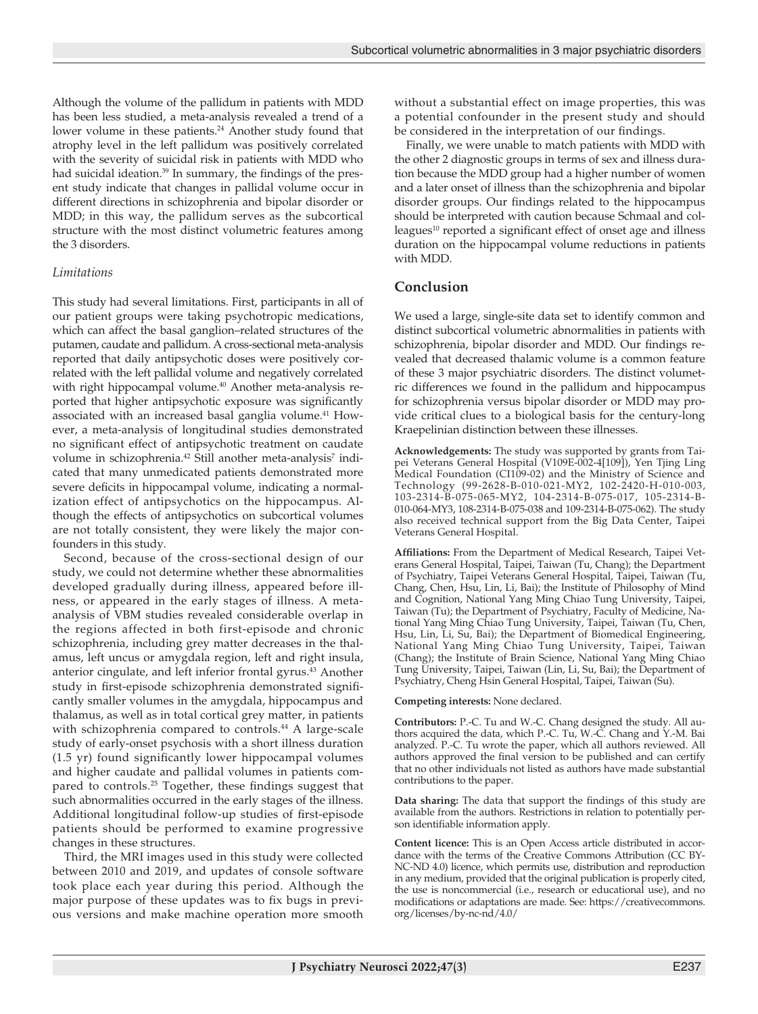Although the volume of the pallidum in patients with MDD has been less studied, a meta-analysis revealed a trend of a lower volume in these patients.<sup>24</sup> Another study found that atrophy level in the left pallidum was positively correlated with the severity of suicidal risk in patients with MDD who had suicidal ideation.<sup>39</sup> In summary, the findings of the present study indicate that changes in pallidal volume occur in different directions in schizophrenia and bipolar disorder or MDD; in this way, the pallidum serves as the subcortical structure with the most distinct volumetric features among the 3 disorders.

## *Limitations*

This study had several limitations. First, participants in all of our patient groups were taking psychotropic medications, which can affect the basal ganglion–related structures of the putamen, caudate and pallidum. A cross-sectional meta-analysis reported that daily antipsychotic doses were positively correlated with the left pallidal volume and negatively correlated with right hippocampal volume.<sup>40</sup> Another meta-analysis reported that higher antipsychotic exposure was significantly associated with an increased basal ganglia volume.<sup>41</sup> However, a meta-analysis of longitudinal studies demonstrated no significant effect of antipsychotic treatment on caudate volume in schizophrenia.<sup>42</sup> Still another meta-analysis<sup>7</sup> indicated that many unmedicated patients demonstrated more severe deficits in hippocampal volume, indicating a normalization effect of antipsychotics on the hippocampus. Although the effects of antipsychotics on subcortical volumes are not totally consistent, they were likely the major confounders in this study.

Second, because of the cross-sectional design of our study, we could not determine whether these abnormalities developed gradually during illness, appeared before illness, or appeared in the early stages of illness. A metaanalysis of VBM studies revealed considerable overlap in the regions affected in both first-episode and chronic schizophrenia, including grey matter decreases in the thalamus, left uncus or amygdala region, left and right insula, anterior cingulate, and left inferior frontal gyrus.<sup>43</sup> Another study in first-episode schizophrenia demonstrated significantly smaller volumes in the amygdala, hippocampus and thalamus, as well as in total cortical grey matter, in patients with schizophrenia compared to controls.<sup>44</sup> A large-scale study of early-onset psychosis with a short illness duration (1.5 yr) found significantly lower hippocampal volumes and higher caudate and pallidal volumes in patients compared to controls.25 Together, these findings suggest that such abnormalities occurred in the early stages of the illness. Additional longitudinal follow-up studies of first-episode patients should be performed to examine progressive changes in these structures.

Third, the MRI images used in this study were collected between 2010 and 2019, and updates of console software took place each year during this period. Although the major purpose of these updates was to fix bugs in previous versions and make machine operation more smooth

without a substantial effect on image properties, this was a potential confounder in the present study and should be considered in the interpretation of our findings.

Finally, we were unable to match patients with MDD with the other 2 diagnostic groups in terms of sex and illness duration because the MDD group had a higher number of women and a later onset of illness than the schizophrenia and bipolar disorder groups. Our findings related to the hippocampus should be interpreted with caution because Schmaal and colleagues<sup>10</sup> reported a significant effect of onset age and illness duration on the hippocampal volume reductions in patients with MDD.

# **Conclusion**

We used a large, single-site data set to identify common and distinct subcortical volumetric abnormalities in patients with schizophrenia, bipolar disorder and MDD. Our findings revealed that decreased thalamic volume is a common feature of these 3 major psychiatric disorders. The distinct volumetric differences we found in the pallidum and hippocampus for schizophrenia versus bipolar disorder or MDD may provide critical clues to a biological basis for the century-long Kraepelinian distinction between these illnesses.

**Acknowledgements:** The study was supported by grants from Taipei Veterans General Hospital (V109E-002-4[109]), Yen Tjing Ling Medical Foundation (CI109-02) and the Ministry of Science and Technology (99-2628-B-010-021-MY2, 102-2420-H-010-003, 103-2314-B-075-065-MY2, 104-2314-B-075-017, 105-2314-B-010-064-MY3, 108-2314-B-075-038 and 109-2314-B-075-062). The study also received technical support from the Big Data Center, Taipei Veterans General Hospital.

**Affiliations:** From the Department of Medical Research, Taipei Veterans General Hospital, Taipei, Taiwan (Tu, Chang); the Department of Psychiatry, Taipei Veterans General Hospital, Taipei, Taiwan (Tu, Chang, Chen, Hsu, Lin, Li, Bai); the Institute of Philosophy of Mind and Cognition, National Yang Ming Chiao Tung University, Taipei, Taiwan (Tu); the Department of Psychiatry, Faculty of Medicine, National Yang Ming Chiao Tung University, Taipei, Taiwan (Tu, Chen, Hsu, Lin, Li, Su, Bai); the Department of Biomedical Engineering, National Yang Ming Chiao Tung University, Taipei, Taiwan (Chang); the Institute of Brain Science, National Yang Ming Chiao Tung University, Taipei, Taiwan (Lin, Li, Su, Bai); the Department of Psychiatry, Cheng Hsin General Hospital, Taipei, Taiwan (Su).

#### **Competing interests:** None declared.

**Contributors:** P.-C. Tu and W.-C. Chang designed the study. All authors acquired the data, which P.-C. Tu, W.-C. Chang and Y.-M. Bai analyzed. P.-C. Tu wrote the paper, which all authors reviewed. All authors approved the final version to be published and can certify that no other individuals not listed as authors have made substantial contributions to the paper.

**Data sharing:** The data that support the findings of this study are available from the authors. Restrictions in relation to potentially person identifiable information apply.

**Content licence:** This is an Open Access article distributed in accordance with the terms of the Creative Commons Attribution (CC BY-NC-ND 4.0) licence, which permits use, distribution and reproduction in any medium, provided that the original publication is properly cited, the use is noncommercial (i.e., research or educational use), and no modifications or adaptations are made. See: https://creativecommons. org/licenses/by-nc-nd/4.0/